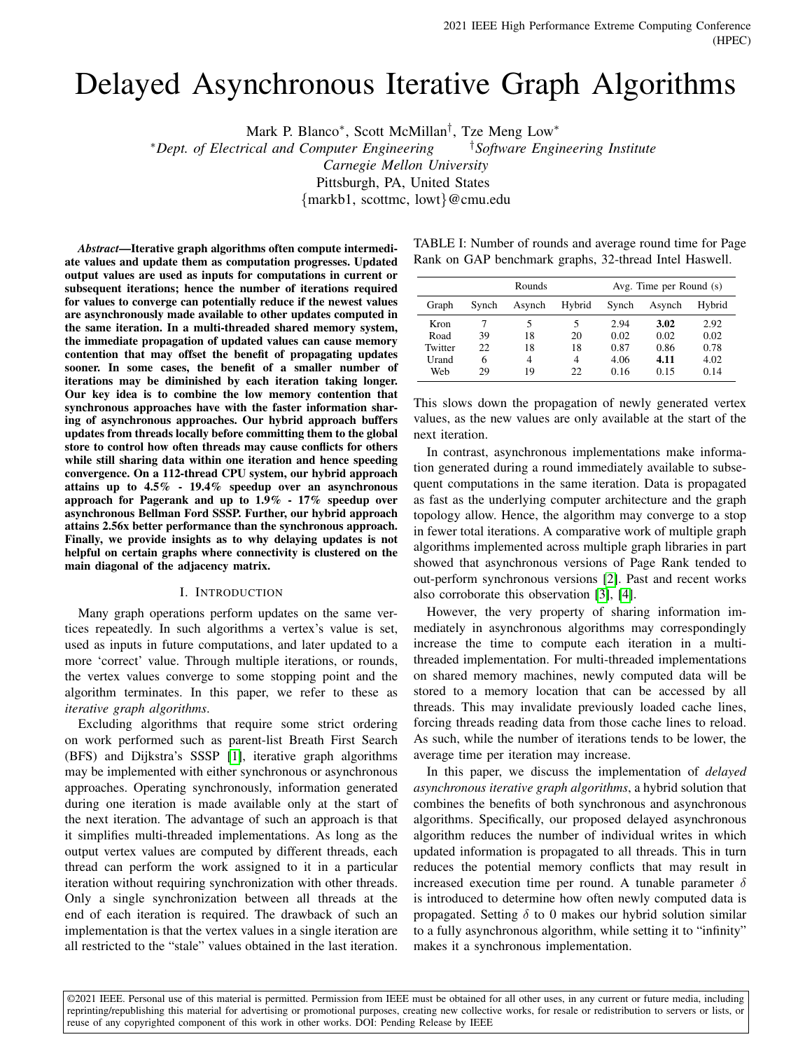# Delayed Asynchronous Iterative Graph Algorithms

Mark P. Blanco<sup>\*</sup>, Scott McMillan<sup>†</sup>, Tze Meng Low<sup>\*</sup>

<sup>∗</sup>*Dept. of Electrical and Computer Engineering* †*Software Engineering Institute*

*Carnegie Mellon University*

Pittsburgh, PA, United States

{markb1, scottmc, lowt}@cmu.edu

*Abstract*—Iterative graph algorithms often compute intermediate values and update them as computation progresses. Updated output values are used as inputs for computations in current or subsequent iterations; hence the number of iterations required for values to converge can potentially reduce if the newest values are asynchronously made available to other updates computed in the same iteration. In a multi-threaded shared memory system, the immediate propagation of updated values can cause memory contention that may offset the benefit of propagating updates sooner. In some cases, the benefit of a smaller number of iterations may be diminished by each iteration taking longer. Our key idea is to combine the low memory contention that synchronous approaches have with the faster information sharing of asynchronous approaches. Our hybrid approach buffers updates from threads locally before committing them to the global store to control how often threads may cause conflicts for others while still sharing data within one iteration and hence speeding convergence. On a 112-thread CPU system, our hybrid approach attains up to 4.5% - 19.4% speedup over an asynchronous approach for Pagerank and up to 1.9% - 17% speedup over asynchronous Bellman Ford SSSP. Further, our hybrid approach attains 2.56x better performance than the synchronous approach. Finally, we provide insights as to why delaying updates is not helpful on certain graphs where connectivity is clustered on the main diagonal of the adjacency matrix.

#### I. INTRODUCTION

Many graph operations perform updates on the same vertices repeatedly. In such algorithms a vertex's value is set, used as inputs in future computations, and later updated to a more 'correct' value. Through multiple iterations, or rounds, the vertex values converge to some stopping point and the algorithm terminates. In this paper, we refer to these as *iterative graph algorithms*.

Excluding algorithms that require some strict ordering on work performed such as parent-list Breath First Search (BFS) and Dijkstra's SSSP [\[1\]](#page-6-0), iterative graph algorithms may be implemented with either synchronous or asynchronous approaches. Operating synchronously, information generated during one iteration is made available only at the start of the next iteration. The advantage of such an approach is that it simplifies multi-threaded implementations. As long as the output vertex values are computed by different threads, each thread can perform the work assigned to it in a particular iteration without requiring synchronization with other threads. Only a single synchronization between all threads at the end of each iteration is required. The drawback of such an implementation is that the vertex values in a single iteration are all restricted to the "stale" values obtained in the last iteration.

<span id="page-0-0"></span>

| TABLE I: Number of rounds and average round time for Page |  |
|-----------------------------------------------------------|--|
| Rank on GAP benchmark graphs, 32-thread Intel Haswell.    |  |

|         | Rounds |        |        | Avg. Time per Round (s) |        |        |
|---------|--------|--------|--------|-------------------------|--------|--------|
| Graph   | Synch  | Asynch | Hybrid | Synch                   | Asynch | Hybrid |
| Kron    |        | 5      | 5      | 2.94                    | 3.02   | 2.92   |
| Road    | 39     | 18     | 20     | 0.02                    | 0.02   | 0.02   |
| Twitter | 22     | 18     | 18     | 0.87                    | 0.86   | 0.78   |
| Urand   | 6      | 4      | 4      | 4.06                    | 4.11   | 4.02   |
| Web     | 29     | 19     | 22     | 0.16                    | 0.15   | 0.14   |

This slows down the propagation of newly generated vertex values, as the new values are only available at the start of the next iteration.

In contrast, asynchronous implementations make information generated during a round immediately available to subsequent computations in the same iteration. Data is propagated as fast as the underlying computer architecture and the graph topology allow. Hence, the algorithm may converge to a stop in fewer total iterations. A comparative work of multiple graph algorithms implemented across multiple graph libraries in part showed that asynchronous versions of Page Rank tended to out-perform synchronous versions [\[2\]](#page-6-1). Past and recent works also corroborate this observation [\[3\]](#page-6-2), [\[4\]](#page-6-3).

However, the very property of sharing information immediately in asynchronous algorithms may correspondingly increase the time to compute each iteration in a multithreaded implementation. For multi-threaded implementations on shared memory machines, newly computed data will be stored to a memory location that can be accessed by all threads. This may invalidate previously loaded cache lines, forcing threads reading data from those cache lines to reload. As such, while the number of iterations tends to be lower, the average time per iteration may increase.

In this paper, we discuss the implementation of *delayed asynchronous iterative graph algorithms*, a hybrid solution that combines the benefits of both synchronous and asynchronous algorithms. Specifically, our proposed delayed asynchronous algorithm reduces the number of individual writes in which updated information is propagated to all threads. This in turn reduces the potential memory conflicts that may result in increased execution time per round. A tunable parameter  $\delta$ is introduced to determine how often newly computed data is propagated. Setting  $\delta$  to 0 makes our hybrid solution similar to a fully asynchronous algorithm, while setting it to "infinity" makes it a synchronous implementation.

©2021 IEEE. Personal use of this material is permitted. Permission from IEEE must be obtained for all other uses, in any current or future media, including reprinting/republishing this material for advertising or promotional purposes, creating new collective works, for resale or redistribution to servers or lists, or reuse of any copyrighted component of this work in other works. DOI: Pending Release by IEEE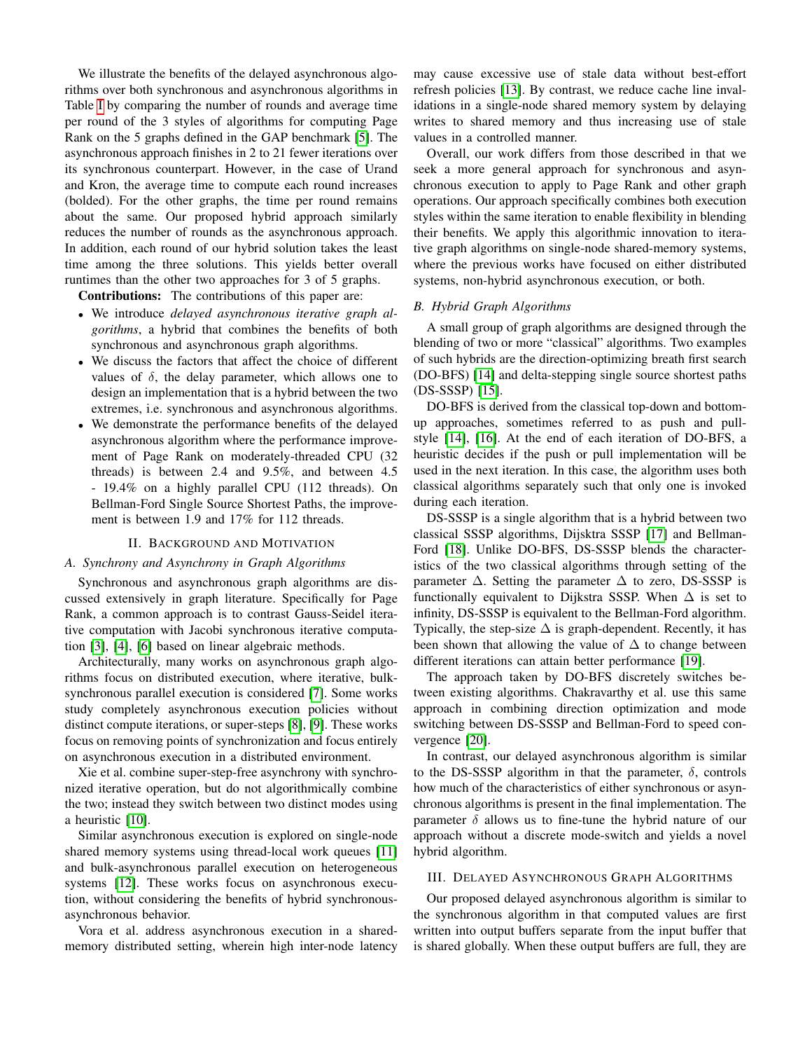We illustrate the benefits of the delayed asynchronous algorithms over both synchronous and asynchronous algorithms in Table [I](#page-0-0) by comparing the number of rounds and average time per round of the 3 styles of algorithms for computing Page Rank on the 5 graphs defined in the GAP benchmark [\[5\]](#page-6-4). The asynchronous approach finishes in 2 to 21 fewer iterations over its synchronous counterpart. However, in the case of Urand and Kron, the average time to compute each round increases (bolded). For the other graphs, the time per round remains about the same. Our proposed hybrid approach similarly reduces the number of rounds as the asynchronous approach. In addition, each round of our hybrid solution takes the least time among the three solutions. This yields better overall runtimes than the other two approaches for 3 of 5 graphs.

Contributions: The contributions of this paper are:

- We introduce *delayed asynchronous iterative graph algorithms*, a hybrid that combines the benefits of both synchronous and asynchronous graph algorithms.
- We discuss the factors that affect the choice of different values of  $\delta$ , the delay parameter, which allows one to design an implementation that is a hybrid between the two extremes, i.e. synchronous and asynchronous algorithms.
- We demonstrate the performance benefits of the delayed asynchronous algorithm where the performance improvement of Page Rank on moderately-threaded CPU (32 threads) is between 2.4 and 9.5%, and between 4.5 - 19.4% on a highly parallel CPU (112 threads). On Bellman-Ford Single Source Shortest Paths, the improvement is between 1.9 and 17% for 112 threads.

#### II. BACKGROUND AND MOTIVATION

#### *A. Synchrony and Asynchrony in Graph Algorithms*

Synchronous and asynchronous graph algorithms are discussed extensively in graph literature. Specifically for Page Rank, a common approach is to contrast Gauss-Seidel iterative computation with Jacobi synchronous iterative computation [\[3\]](#page-6-2), [\[4\]](#page-6-3), [\[6\]](#page-6-5) based on linear algebraic methods.

Architecturally, many works on asynchronous graph algorithms focus on distributed execution, where iterative, bulksynchronous parallel execution is considered [\[7\]](#page-6-6). Some works study completely asynchronous execution policies without distinct compute iterations, or super-steps [\[8\]](#page-6-7), [\[9\]](#page-6-8). These works focus on removing points of synchronization and focus entirely on asynchronous execution in a distributed environment.

Xie et al. combine super-step-free asynchrony with synchronized iterative operation, but do not algorithmically combine the two; instead they switch between two distinct modes using a heuristic [\[10\]](#page-6-9).

Similar asynchronous execution is explored on single-node shared memory systems using thread-local work queues [\[11\]](#page-6-10) and bulk-asynchronous parallel execution on heterogeneous systems [\[12\]](#page-6-11). These works focus on asynchronous execution, without considering the benefits of hybrid synchronousasynchronous behavior.

Vora et al. address asynchronous execution in a sharedmemory distributed setting, wherein high inter-node latency

may cause excessive use of stale data without best-effort refresh policies [\[13\]](#page-6-12). By contrast, we reduce cache line invalidations in a single-node shared memory system by delaying writes to shared memory and thus increasing use of stale values in a controlled manner.

Overall, our work differs from those described in that we seek a more general approach for synchronous and asynchronous execution to apply to Page Rank and other graph operations. Our approach specifically combines both execution styles within the same iteration to enable flexibility in blending their benefits. We apply this algorithmic innovation to iterative graph algorithms on single-node shared-memory systems, where the previous works have focused on either distributed systems, non-hybrid asynchronous execution, or both.

## *B. Hybrid Graph Algorithms*

A small group of graph algorithms are designed through the blending of two or more "classical" algorithms. Two examples of such hybrids are the direction-optimizing breath first search (DO-BFS) [\[14\]](#page-6-13) and delta-stepping single source shortest paths (DS-SSSP) [\[15\]](#page-6-14).

DO-BFS is derived from the classical top-down and bottomup approaches, sometimes referred to as push and pullstyle [\[14\]](#page-6-13), [\[16\]](#page-6-15). At the end of each iteration of DO-BFS, a heuristic decides if the push or pull implementation will be used in the next iteration. In this case, the algorithm uses both classical algorithms separately such that only one is invoked during each iteration.

DS-SSSP is a single algorithm that is a hybrid between two classical SSSP algorithms, Dijsktra SSSP [\[17\]](#page-6-16) and Bellman-Ford [\[18\]](#page-6-17). Unlike DO-BFS, DS-SSSP blends the characteristics of the two classical algorithms through setting of the parameter  $\Delta$ . Setting the parameter  $\Delta$  to zero, DS-SSSP is functionally equivalent to Dijkstra SSSP. When  $\Delta$  is set to infinity, DS-SSSP is equivalent to the Bellman-Ford algorithm. Typically, the step-size  $\Delta$  is graph-dependent. Recently, it has been shown that allowing the value of  $\Delta$  to change between different iterations can attain better performance [\[19\]](#page-6-18).

The approach taken by DO-BFS discretely switches between existing algorithms. Chakravarthy et al. use this same approach in combining direction optimization and mode switching between DS-SSSP and Bellman-Ford to speed convergence [\[20\]](#page-6-19).

In contrast, our delayed asynchronous algorithm is similar to the DS-SSSP algorithm in that the parameter,  $\delta$ , controls how much of the characteristics of either synchronous or asynchronous algorithms is present in the final implementation. The parameter  $\delta$  allows us to fine-tune the hybrid nature of our approach without a discrete mode-switch and yields a novel hybrid algorithm.

### III. DELAYED ASYNCHRONOUS GRAPH ALGORITHMS

Our proposed delayed asynchronous algorithm is similar to the synchronous algorithm in that computed values are first written into output buffers separate from the input buffer that is shared globally. When these output buffers are full, they are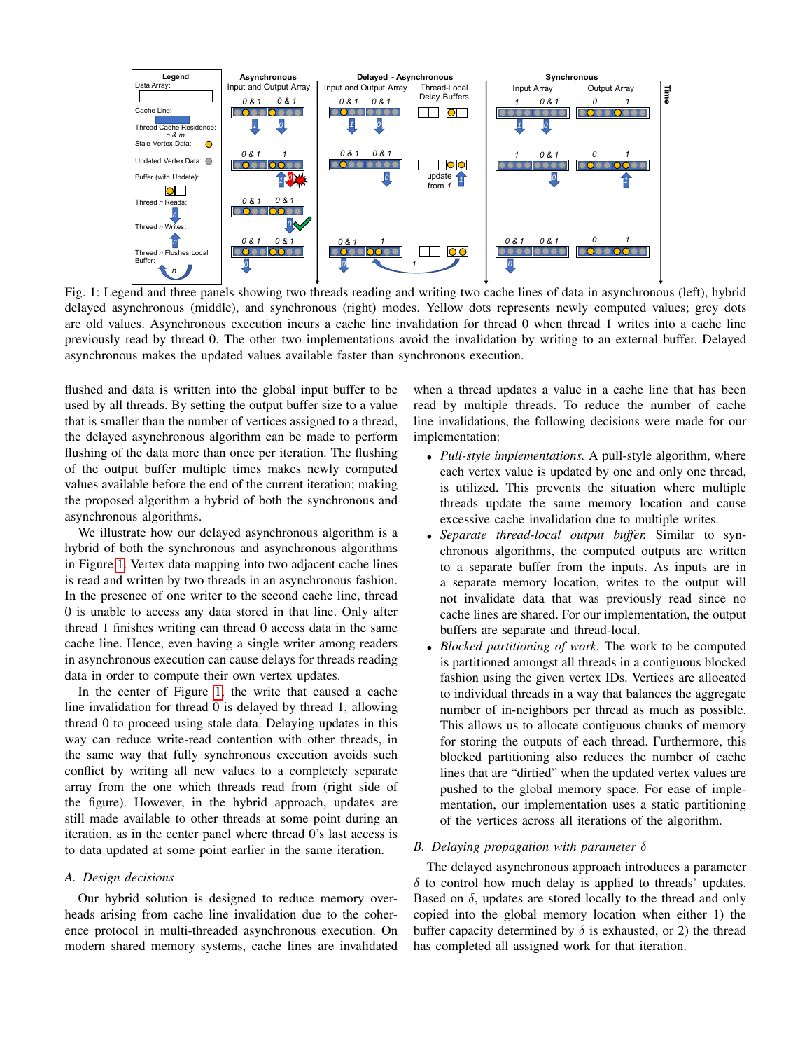<span id="page-2-0"></span>

Fig. 1: Legend and three panels showing two threads reading and writing two cache lines of data in asynchronous (left), hybrid delayed asynchronous (middle), and synchronous (right) modes. Yellow dots represents newly computed values; grey dots are old values. Asynchronous execution incurs a cache line invalidation for thread 0 when thread 1 writes into a cache line previously read by thread 0. The other two implementations avoid the invalidation by writing to an external buffer. Delayed asynchronous makes the updated values available faster than synchronous execution.

flushed and data is written into the global input buffer to be used by all threads. By setting the output buffer size to a value that is smaller than the number of vertices assigned to a thread, the delayed asynchronous algorithm can be made to perform flushing of the data more than once per iteration. The flushing of the output buffer multiple times makes newly computed values available before the end of the current iteration; making the proposed algorithm a hybrid of both the synchronous and asynchronous algorithms.

We illustrate how our delayed asynchronous algorithm is a hybrid of both the synchronous and asynchronous algorithms in Figure [1.](#page-2-0) Vertex data mapping into two adjacent cache lines is read and written by two threads in an asynchronous fashion. In the presence of one writer to the second cache line, thread 0 is unable to access any data stored in that line. Only after thread 1 finishes writing can thread 0 access data in the same cache line. Hence, even having a single writer among readers in asynchronous execution can cause delays for threads reading data in order to compute their own vertex updates.

In the center of Figure [1,](#page-2-0) the write that caused a cache line invalidation for thread 0 is delayed by thread 1, allowing thread 0 to proceed using stale data. Delaying updates in this way can reduce write-read contention with other threads, in the same way that fully synchronous execution avoids such conflict by writing all new values to a completely separate array from the one which threads read from (right side of the figure). However, in the hybrid approach, updates are still made available to other threads at some point during an iteration, as in the center panel where thread 0's last access is to data updated at some point earlier in the same iteration.

#### *A. Design decisions*

Our hybrid solution is designed to reduce memory overheads arising from cache line invalidation due to the coherence protocol in multi-threaded asynchronous execution. On modern shared memory systems, cache lines are invalidated when a thread updates a value in a cache line that has been read by multiple threads. To reduce the number of cache line invalidations, the following decisions were made for our implementation:

- *Pull-style implementations.* A pull-style algorithm, where each vertex value is updated by one and only one thread, is utilized. This prevents the situation where multiple threads update the same memory location and cause excessive cache invalidation due to multiple writes.
- *Separate thread-local output buffer.* Similar to synchronous algorithms, the computed outputs are written to a separate buffer from the inputs. As inputs are in a separate memory location, writes to the output will not invalidate data that was previously read since no cache lines are shared. For our implementation, the output buffers are separate and thread-local.
- *Blocked partitioning of work.* The work to be computed is partitioned amongst all threads in a contiguous blocked fashion using the given vertex IDs. Vertices are allocated to individual threads in a way that balances the aggregate number of in-neighbors per thread as much as possible. This allows us to allocate contiguous chunks of memory for storing the outputs of each thread. Furthermore, this blocked partitioning also reduces the number of cache lines that are "dirtied" when the updated vertex values are pushed to the global memory space. For ease of implementation, our implementation uses a static partitioning of the vertices across all iterations of the algorithm.

#### *B. Delaying propagation with parameter* δ

The delayed asynchronous approach introduces a parameter  $\delta$  to control how much delay is applied to threads' updates. Based on  $\delta$ , updates are stored locally to the thread and only copied into the global memory location when either 1) the buffer capacity determined by  $\delta$  is exhausted, or 2) the thread has completed all assigned work for that iteration.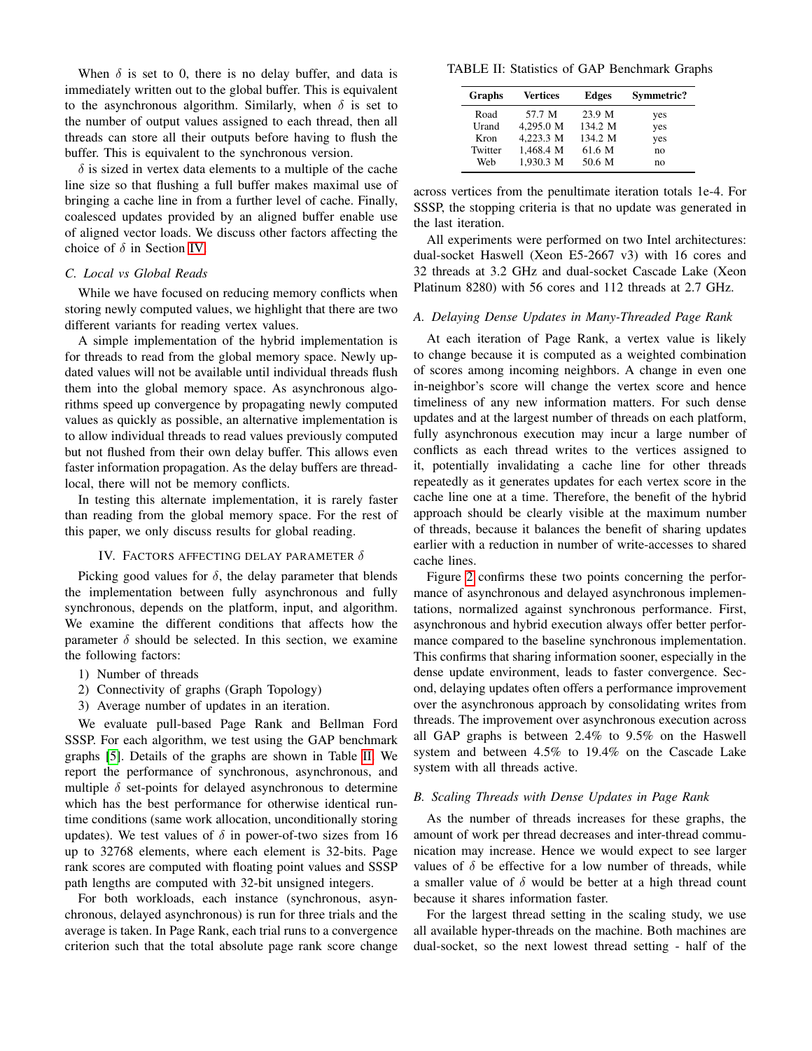When  $\delta$  is set to 0, there is no delay buffer, and data is immediately written out to the global buffer. This is equivalent to the asynchronous algorithm. Similarly, when  $\delta$  is set to the number of output values assigned to each thread, then all threads can store all their outputs before having to flush the buffer. This is equivalent to the synchronous version.

 $\delta$  is sized in vertex data elements to a multiple of the cache line size so that flushing a full buffer makes maximal use of bringing a cache line in from a further level of cache. Finally, coalesced updates provided by an aligned buffer enable use of aligned vector loads. We discuss other factors affecting the choice of  $\delta$  in Section [IV.](#page-3-0)

# *C. Local vs Global Reads*

While we have focused on reducing memory conflicts when storing newly computed values, we highlight that there are two different variants for reading vertex values.

A simple implementation of the hybrid implementation is for threads to read from the global memory space. Newly updated values will not be available until individual threads flush them into the global memory space. As asynchronous algorithms speed up convergence by propagating newly computed values as quickly as possible, an alternative implementation is to allow individual threads to read values previously computed but not flushed from their own delay buffer. This allows even faster information propagation. As the delay buffers are threadlocal, there will not be memory conflicts.

In testing this alternate implementation, it is rarely faster than reading from the global memory space. For the rest of this paper, we only discuss results for global reading.

## IV. FACTORS AFFECTING DELAY PARAMETER  $\delta$

<span id="page-3-0"></span>Picking good values for  $\delta$ , the delay parameter that blends the implementation between fully asynchronous and fully synchronous, depends on the platform, input, and algorithm. We examine the different conditions that affects how the parameter  $\delta$  should be selected. In this section, we examine the following factors:

- 1) Number of threads
- 2) Connectivity of graphs (Graph Topology)
- 3) Average number of updates in an iteration.

We evaluate pull-based Page Rank and Bellman Ford SSSP. For each algorithm, we test using the GAP benchmark graphs [\[5\]](#page-6-4). Details of the graphs are shown in Table [II.](#page-3-1) We report the performance of synchronous, asynchronous, and multiple  $\delta$  set-points for delayed asynchronous to determine which has the best performance for otherwise identical runtime conditions (same work allocation, unconditionally storing updates). We test values of  $\delta$  in power-of-two sizes from 16 up to 32768 elements, where each element is 32-bits. Page rank scores are computed with floating point values and SSSP path lengths are computed with 32-bit unsigned integers.

For both workloads, each instance (synchronous, asynchronous, delayed asynchronous) is run for three trials and the average is taken. In Page Rank, each trial runs to a convergence criterion such that the total absolute page rank score change

<span id="page-3-1"></span>TABLE II: Statistics of GAP Benchmark Graphs

| Graphs  | Vertices  | <b>Edges</b> | Symmetric? |
|---------|-----------|--------------|------------|
| Road    | 57.7 M    | 23.9 M       | yes        |
| Urand   | 4.295.0 M | 134.2 M      | yes        |
| Kron    | 4.223.3 M | 134.2 M      | yes        |
| Twitter | 1,468.4 M | 61.6 M       | no         |
| Web     | 1,930.3 M | 50.6 M       | no         |

across vertices from the penultimate iteration totals 1e-4. For SSSP, the stopping criteria is that no update was generated in the last iteration.

All experiments were performed on two Intel architectures: dual-socket Haswell (Xeon E5-2667 v3) with 16 cores and 32 threads at 3.2 GHz and dual-socket Cascade Lake (Xeon Platinum 8280) with 56 cores and 112 threads at 2.7 GHz.

#### *A. Delaying Dense Updates in Many-Threaded Page Rank*

At each iteration of Page Rank, a vertex value is likely to change because it is computed as a weighted combination of scores among incoming neighbors. A change in even one in-neighbor's score will change the vertex score and hence timeliness of any new information matters. For such dense updates and at the largest number of threads on each platform, fully asynchronous execution may incur a large number of conflicts as each thread writes to the vertices assigned to it, potentially invalidating a cache line for other threads repeatedly as it generates updates for each vertex score in the cache line one at a time. Therefore, the benefit of the hybrid approach should be clearly visible at the maximum number of threads, because it balances the benefit of sharing updates earlier with a reduction in number of write-accesses to shared cache lines.

Figure [2](#page-4-0) confirms these two points concerning the performance of asynchronous and delayed asynchronous implementations, normalized against synchronous performance. First, asynchronous and hybrid execution always offer better performance compared to the baseline synchronous implementation. This confirms that sharing information sooner, especially in the dense update environment, leads to faster convergence. Second, delaying updates often offers a performance improvement over the asynchronous approach by consolidating writes from threads. The improvement over asynchronous execution across all GAP graphs is between 2.4% to 9.5% on the Haswell system and between 4.5% to 19.4% on the Cascade Lake system with all threads active.

# *B. Scaling Threads with Dense Updates in Page Rank*

As the number of threads increases for these graphs, the amount of work per thread decreases and inter-thread communication may increase. Hence we would expect to see larger values of  $\delta$  be effective for a low number of threads, while a smaller value of  $\delta$  would be better at a high thread count because it shares information faster.

For the largest thread setting in the scaling study, we use all available hyper-threads on the machine. Both machines are dual-socket, so the next lowest thread setting - half of the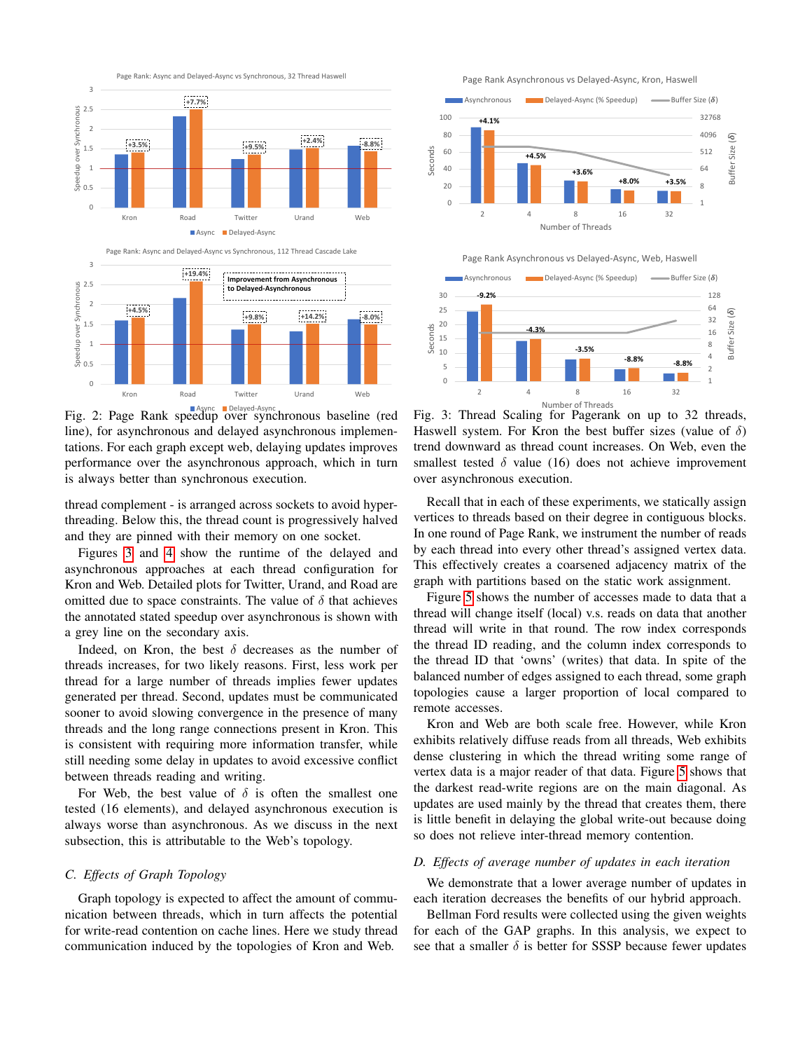<span id="page-4-0"></span>



Async Delayed-Async Fig. 2: Page Rank speedup over synchronous baseline (red line), for asynchronous and delayed asynchronous implementations. For each graph except web, delaying updates improves performance over the asynchronous approach, which in turn is always better than synchronous execution.

thread complement - is arranged across sockets to avoid hyperthreading. Below this, the thread count is progressively halved and they are pinned with their memory on one socket.

Figures [3](#page-4-1) and [4](#page-5-0) show the runtime of the delayed and asynchronous approaches at each thread configuration for Kron and Web. Detailed plots for Twitter, Urand, and Road are omitted due to space constraints. The value of  $\delta$  that achieves the annotated stated speedup over asynchronous is shown with a grey line on the secondary axis.

Indeed, on Kron, the best  $\delta$  decreases as the number of threads increases, for two likely reasons. First, less work per thread for a large number of threads implies fewer updates generated per thread. Second, updates must be communicated sooner to avoid slowing convergence in the presence of many threads and the long range connections present in Kron. This is consistent with requiring more information transfer, while still needing some delay in updates to avoid excessive conflict between threads reading and writing.

For Web, the best value of  $\delta$  is often the smallest one tested (16 elements), and delayed asynchronous execution is always worse than asynchronous. As we discuss in the next subsection, this is attributable to the Web's topology.

# *C. Effects of Graph Topology*

Graph topology is expected to affect the amount of communication between threads, which in turn affects the potential for write-read contention on cache lines. Here we study thread communication induced by the topologies of Kron and Web.

Page Rank Asynchronous vs Delayed-Async, Kron, Haswell

<span id="page-4-1"></span>



Fig. 3: Thread Scaling for Pagerank on up to 32 threads, Haswell system. For Kron the best buffer sizes (value of  $\delta$ ) trend downward as thread count increases. On Web, even the smallest tested  $\delta$  value (16) does not achieve improvement over asynchronous execution.

Recall that in each of these experiments, we statically assign vertices to threads based on their degree in contiguous blocks. In one round of Page Rank, we instrument the number of reads by each thread into every other thread's assigned vertex data. This effectively creates a coarsened adjacency matrix of the graph with partitions based on the static work assignment.

Figure [5](#page-5-1) shows the number of accesses made to data that a thread will change itself (local) v.s. reads on data that another thread will write in that round. The row index corresponds the thread ID reading, and the column index corresponds to the thread ID that 'owns' (writes) that data. In spite of the balanced number of edges assigned to each thread, some graph topologies cause a larger proportion of local compared to remote accesses.

Kron and Web are both scale free. However, while Kron exhibits relatively diffuse reads from all threads, Web exhibits dense clustering in which the thread writing some range of vertex data is a major reader of that data. Figure [5](#page-5-1) shows that the darkest read-write regions are on the main diagonal. As updates are used mainly by the thread that creates them, there is little benefit in delaying the global write-out because doing so does not relieve inter-thread memory contention.

# *D. Effects of average number of updates in each iteration*

We demonstrate that a lower average number of updates in each iteration decreases the benefits of our hybrid approach.

Bellman Ford results were collected using the given weights for each of the GAP graphs. In this analysis, we expect to see that a smaller  $\delta$  is better for SSSP because fewer updates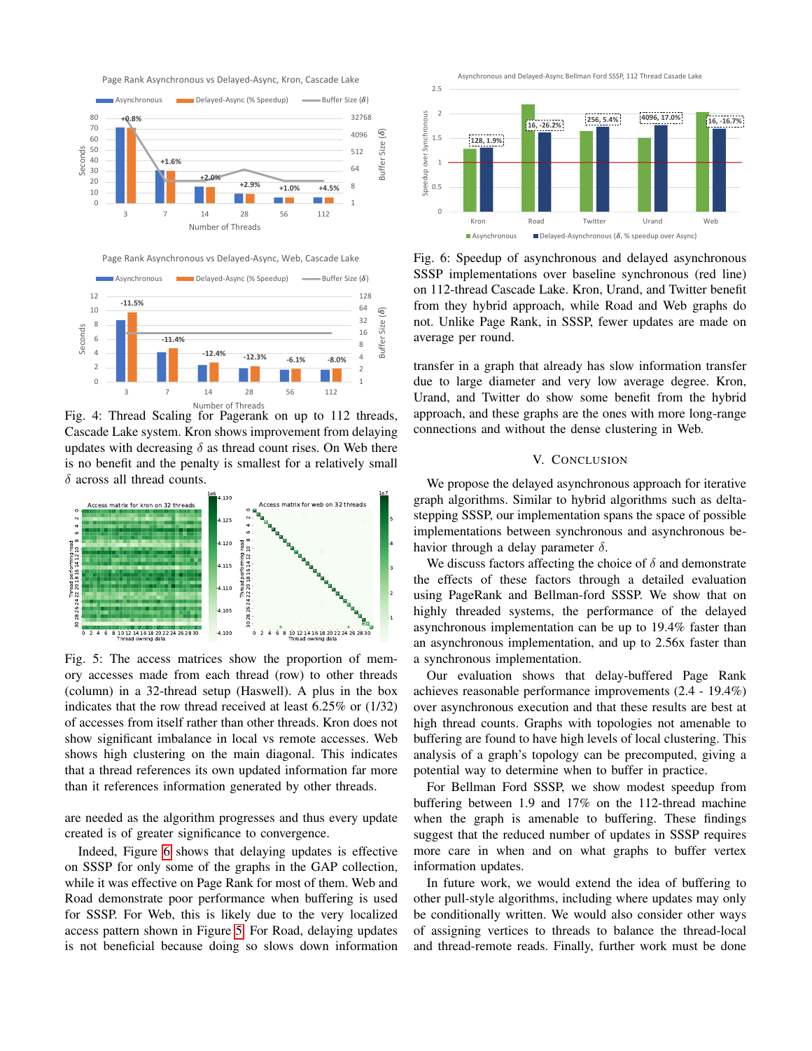Page Rank Asynchronous vs Delayed-Async, Kron, Cascade Lake

<span id="page-5-0"></span>





Fig. 4: Thread Scaling for Pagerank on up to 112 threads, Cascade Lake system. Kron shows improvement from delaying updates with decreasing  $\delta$  as thread count rises. On Web there is no benefit and the penalty is smallest for a relatively small  $\delta$  across all thread counts.

<span id="page-5-1"></span>

Fig. 5: The access matrices show the proportion of memory accesses made from each thread (row) to other threads (column) in a 32-thread setup (Haswell). A plus in the box indicates that the row thread received at least 6.25% or (1/32) of accesses from itself rather than other threads. Kron does not show significant imbalance in local vs remote accesses. Web shows high clustering on the main diagonal. This indicates that a thread references its own updated information far more than it references information generated by other threads.

are needed as the algorithm progresses and thus every update created is of greater significance to convergence.

Indeed, Figure [6](#page-5-2) shows that delaying updates is effective on SSSP for only some of the graphs in the GAP collection, while it was effective on Page Rank for most of them. Web and Road demonstrate poor performance when buffering is used for SSSP. For Web, this is likely due to the very localized access pattern shown in Figure [5.](#page-5-1) For Road, delaying updates is not beneficial because doing so slows down information

Asynchronous and Delayed-Async Bellman Ford SSSP, 112 Thread Casade Lake

<span id="page-5-2"></span>

Fig. 6: Speedup of asynchronous and delayed asynchronous SSSP implementations over baseline synchronous (red line) on 112-thread Cascade Lake. Kron, Urand, and Twitter benefit from they hybrid approach, while Road and Web graphs do not. Unlike Page Rank, in SSSP, fewer updates are made on average per round.

transfer in a graph that already has slow information transfer due to large diameter and very low average degree. Kron, Urand, and Twitter do show some benefit from the hybrid approach, and these graphs are the ones with more long-range connections and without the dense clustering in Web.

# V. CONCLUSION

We propose the delayed asynchronous approach for iterative graph algorithms. Similar to hybrid algorithms such as deltastepping SSSP, our implementation spans the space of possible implementations between synchronous and asynchronous behavior through a delay parameter  $\delta$ .

We discuss factors affecting the choice of  $\delta$  and demonstrate the effects of these factors through a detailed evaluation using PageRank and Bellman-ford SSSP. We show that on highly threaded systems, the performance of the delayed asynchronous implementation can be up to 19.4% faster than an asynchronous implementation, and up to 2.56x faster than a synchronous implementation.

Our evaluation shows that delay-buffered Page Rank achieves reasonable performance improvements (2.4 - 19.4%) over asynchronous execution and that these results are best at high thread counts. Graphs with topologies not amenable to buffering are found to have high levels of local clustering. This analysis of a graph's topology can be precomputed, giving a potential way to determine when to buffer in practice.

For Bellman Ford SSSP, we show modest speedup from buffering between 1.9 and 17% on the 112-thread machine when the graph is amenable to buffering. These findings suggest that the reduced number of updates in SSSP requires more care in when and on what graphs to buffer vertex information updates.

In future work, we would extend the idea of buffering to other pull-style algorithms, including where updates may only be conditionally written. We would also consider other ways of assigning vertices to threads to balance the thread-local and thread-remote reads. Finally, further work must be done